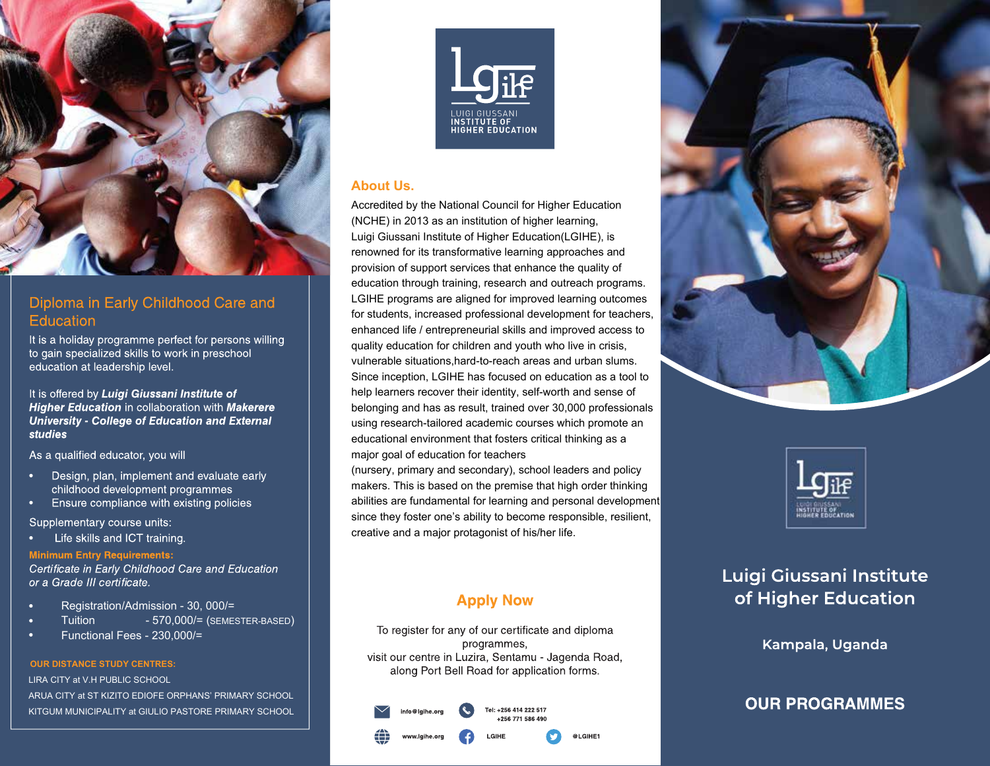

## Diploma in Early Childhood Care and Education

It is a holiday programme perfect for persons willing to gain specialized skills to work in preschool education at leadership level.

It is offered by Luigi Giussani Institute of **Higher Education in collaboration with Makerere University - College of Education and External studies** 

As a qualified educator, you will

- Design, plan, implement and evaluate early childhood development programmes
- Ensure compliance with existing policies

Supplementary course units:

Life skills and ICT training.

**Minimum Entry Requirements:** Certificate in Early Childhood Care and Education or a Grade III certificate.

- · Registration/Admission 30, 000/=
- Tuition 570,000/= (SEMESTER-BASED)
- · Functional Fees 230,000/=

#### **OUR DISTANCE STUDY CENTRES:**

LIRA CITY at V.H PUBLIC SCHOOL

ARUA CITY at ST KIZITO EDIOFE ORPHANS' PRIMARY SCHOOL KITGUM MUNICIPALITY at GIULIO PASTORE PRIMARY SCHOOL



### **About Us.**

Accredited by the National Council for Higher Education (NCHE) in 2013 as an institution of higher learning, Luigi Giussani Institute of Higher Education(LGIHE), is renowned for its transformative learning approaches and provision of support services that enhance the quality of education through training, research and outreach programs. LGIHE programs are aligned for improved learning outcomes for students, increased professional development for teachers enhanced life / entrepreneurial skills and improved access to quality education for children and youth who live in crisis, vulnerable situations,hard-to-reach areas and urban slums. Since inception, LGIHE has focused on education as a tool to help learners recover their identity, self-worth and sense of belonging and has as result, trained over 30,000 professionals using research-tailored academic courses which promote an educational environment that fosters critical thinking as a major goal of education for teachers

(nursery, primary and secondary), school leaders and policy makers. This is based on the premise that high order thinking abilities are fundamental for learning and personal development since they foster one's ability to become responsible, resilient, creative and a major protagonist of his/her life.

# **Apply Now**

To register for any of our certificate and diploma programmes, visit our centre in Luzira, Sentamu - Jagenda Road, along Port Bell Road for application forms.







# Luigi Giussani Institute of Higher Education

Kampala, Uganda

# **OUR PROGRAMMES**